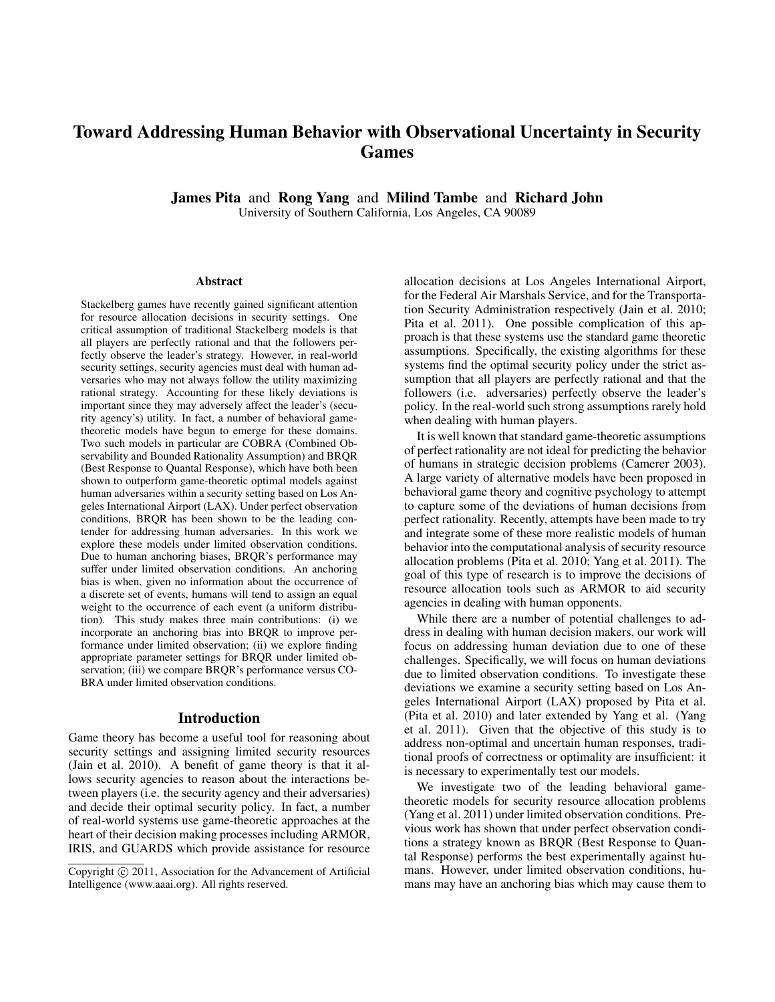# Toward Addressing Human Behavior with Observational Uncertainty in Security Games

James Pita and Rong Yang and Milind Tambe and Richard John University of Southern California, Los Angeles, CA 90089

#### Abstract

Stackelberg games have recently gained significant attention for resource allocation decisions in security settings. One critical assumption of traditional Stackelberg models is that all players are perfectly rational and that the followers perfectly observe the leader's strategy. However, in real-world security settings, security agencies must deal with human adversaries who may not always follow the utility maximizing rational strategy. Accounting for these likely deviations is important since they may adversely affect the leader's (security agency's) utility. In fact, a number of behavioral gametheoretic models have begun to emerge for these domains. Two such models in particular are COBRA (Combined Observability and Bounded Rationality Assumption) and BRQR (Best Response to Quantal Response), which have both been shown to outperform game-theoretic optimal models against human adversaries within a security setting based on Los Angeles International Airport (LAX). Under perfect observation conditions, BRQR has been shown to be the leading contender for addressing human adversaries. In this work we explore these models under limited observation conditions. Due to human anchoring biases, BRQR's performance may suffer under limited observation conditions. An anchoring bias is when, given no information about the occurrence of a discrete set of events, humans will tend to assign an equal weight to the occurrence of each event (a uniform distribution). This study makes three main contributions: (i) we incorporate an anchoring bias into BRQR to improve performance under limited observation; (ii) we explore finding appropriate parameter settings for BRQR under limited observation; (iii) we compare BRQR's performance versus CO-BRA under limited observation conditions.

#### Introduction

Game theory has become a useful tool for reasoning about security settings and assigning limited security resources (Jain et al. 2010). A benefit of game theory is that it allows security agencies to reason about the interactions between players (i.e. the security agency and their adversaries) and decide their optimal security policy. In fact, a number of real-world systems use game-theoretic approaches at the heart of their decision making processes including ARMOR, IRIS, and GUARDS which provide assistance for resource

allocation decisions at Los Angeles International Airport, for the Federal Air Marshals Service, and for the Transportation Security Administration respectively (Jain et al. 2010; Pita et al. 2011). One possible complication of this approach is that these systems use the standard game theoretic assumptions. Specifically, the existing algorithms for these systems find the optimal security policy under the strict assumption that all players are perfectly rational and that the followers (i.e. adversaries) perfectly observe the leader's policy. In the real-world such strong assumptions rarely hold when dealing with human players.

It is well known that standard game-theoretic assumptions of perfect rationality are not ideal for predicting the behavior of humans in strategic decision problems (Camerer 2003). A large variety of alternative models have been proposed in behavioral game theory and cognitive psychology to attempt to capture some of the deviations of human decisions from perfect rationality. Recently, attempts have been made to try and integrate some of these more realistic models of human behavior into the computational analysis of security resource allocation problems (Pita et al. 2010; Yang et al. 2011). The goal of this type of research is to improve the decisions of resource allocation tools such as ARMOR to aid security agencies in dealing with human opponents.

While there are a number of potential challenges to address in dealing with human decision makers, our work will focus on addressing human deviation due to one of these challenges. Specifically, we will focus on human deviations due to limited observation conditions. To investigate these deviations we examine a security setting based on Los Angeles International Airport (LAX) proposed by Pita et al. (Pita et al. 2010) and later extended by Yang et al. (Yang et al. 2011). Given that the objective of this study is to address non-optimal and uncertain human responses, traditional proofs of correctness or optimality are insufficient: it is necessary to experimentally test our models.

We investigate two of the leading behavioral gametheoretic models for security resource allocation problems (Yang et al. 2011) under limited observation conditions. Previous work has shown that under perfect observation conditions a strategy known as BRQR (Best Response to Quantal Response) performs the best experimentally against humans. However, under limited observation conditions, humans may have an anchoring bias which may cause them to

Copyright  $\odot$  2011, Association for the Advancement of Artificial Intelligence (www.aaai.org). All rights reserved.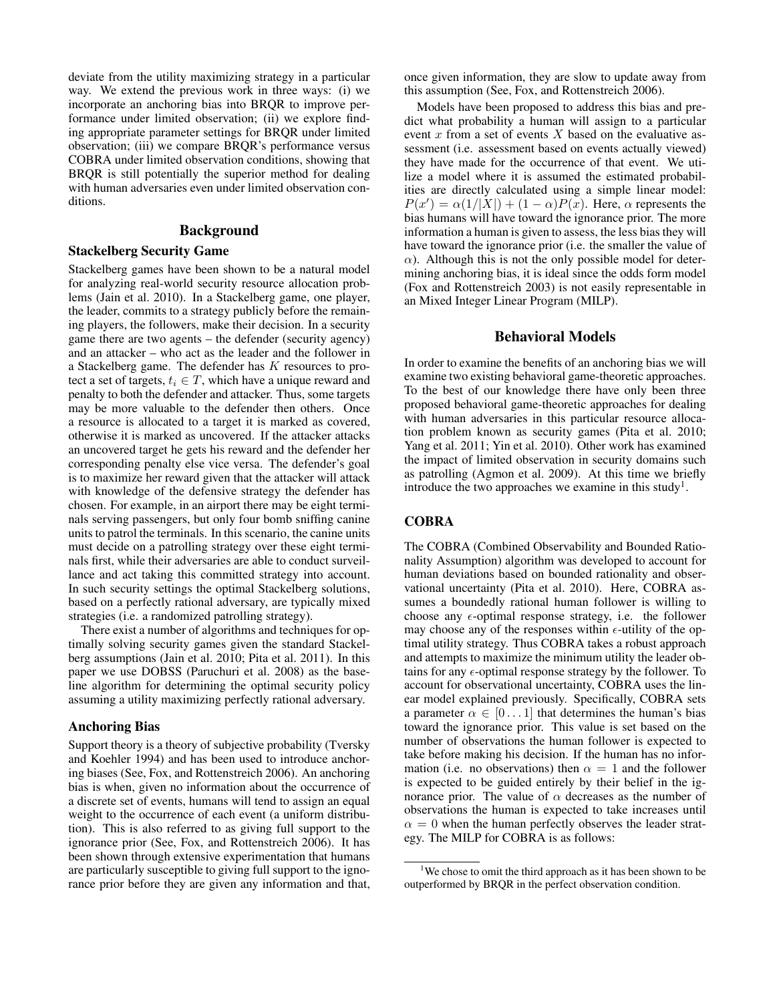deviate from the utility maximizing strategy in a particular way. We extend the previous work in three ways: (i) we incorporate an anchoring bias into BRQR to improve performance under limited observation; (ii) we explore finding appropriate parameter settings for BRQR under limited observation; (iii) we compare BRQR's performance versus COBRA under limited observation conditions, showing that BRQR is still potentially the superior method for dealing with human adversaries even under limited observation conditions.

# Background

## Stackelberg Security Game

Stackelberg games have been shown to be a natural model for analyzing real-world security resource allocation problems (Jain et al. 2010). In a Stackelberg game, one player, the leader, commits to a strategy publicly before the remaining players, the followers, make their decision. In a security game there are two agents – the defender (security agency) and an attacker – who act as the leader and the follower in a Stackelberg game. The defender has K resources to protect a set of targets,  $t_i \in T$ , which have a unique reward and penalty to both the defender and attacker. Thus, some targets may be more valuable to the defender then others. Once a resource is allocated to a target it is marked as covered, otherwise it is marked as uncovered. If the attacker attacks an uncovered target he gets his reward and the defender her corresponding penalty else vice versa. The defender's goal is to maximize her reward given that the attacker will attack with knowledge of the defensive strategy the defender has chosen. For example, in an airport there may be eight terminals serving passengers, but only four bomb sniffing canine units to patrol the terminals. In this scenario, the canine units must decide on a patrolling strategy over these eight terminals first, while their adversaries are able to conduct surveillance and act taking this committed strategy into account. In such security settings the optimal Stackelberg solutions, based on a perfectly rational adversary, are typically mixed strategies (i.e. a randomized patrolling strategy).

There exist a number of algorithms and techniques for optimally solving security games given the standard Stackelberg assumptions (Jain et al. 2010; Pita et al. 2011). In this paper we use DOBSS (Paruchuri et al. 2008) as the baseline algorithm for determining the optimal security policy assuming a utility maximizing perfectly rational adversary.

#### Anchoring Bias

Support theory is a theory of subjective probability (Tversky and Koehler 1994) and has been used to introduce anchoring biases (See, Fox, and Rottenstreich 2006). An anchoring bias is when, given no information about the occurrence of a discrete set of events, humans will tend to assign an equal weight to the occurrence of each event (a uniform distribution). This is also referred to as giving full support to the ignorance prior (See, Fox, and Rottenstreich 2006). It has been shown through extensive experimentation that humans are particularly susceptible to giving full support to the ignorance prior before they are given any information and that,

once given information, they are slow to update away from this assumption (See, Fox, and Rottenstreich 2006).

Models have been proposed to address this bias and predict what probability a human will assign to a particular event x from a set of events X based on the evaluative assessment (i.e. assessment based on events actually viewed) they have made for the occurrence of that event. We utilize a model where it is assumed the estimated probabilities are directly calculated using a simple linear model:  $P(x') = \alpha(1/|X|) + (1 - \alpha)P(x)$ . Here,  $\alpha$  represents the bias humans will have toward the ignorance prior. The more information a human is given to assess, the less bias they will have toward the ignorance prior (i.e. the smaller the value of  $\alpha$ ). Although this is not the only possible model for determining anchoring bias, it is ideal since the odds form model (Fox and Rottenstreich 2003) is not easily representable in an Mixed Integer Linear Program (MILP).

## Behavioral Models

In order to examine the benefits of an anchoring bias we will examine two existing behavioral game-theoretic approaches. To the best of our knowledge there have only been three proposed behavioral game-theoretic approaches for dealing with human adversaries in this particular resource allocation problem known as security games (Pita et al. 2010; Yang et al. 2011; Yin et al. 2010). Other work has examined the impact of limited observation in security domains such as patrolling (Agmon et al. 2009). At this time we briefly introduce the two approaches we examine in this study<sup>1</sup>.

## **COBRA**

The COBRA (Combined Observability and Bounded Rationality Assumption) algorithm was developed to account for human deviations based on bounded rationality and observational uncertainty (Pita et al. 2010). Here, COBRA assumes a boundedly rational human follower is willing to choose any  $\epsilon$ -optimal response strategy, i.e. the follower may choose any of the responses within  $\epsilon$ -utility of the optimal utility strategy. Thus COBRA takes a robust approach and attempts to maximize the minimum utility the leader obtains for any  $\epsilon$ -optimal response strategy by the follower. To account for observational uncertainty, COBRA uses the linear model explained previously. Specifically, COBRA sets a parameter  $\alpha \in [0 \dots 1]$  that determines the human's bias toward the ignorance prior. This value is set based on the number of observations the human follower is expected to take before making his decision. If the human has no information (i.e. no observations) then  $\alpha = 1$  and the follower is expected to be guided entirely by their belief in the ignorance prior. The value of  $\alpha$  decreases as the number of observations the human is expected to take increases until  $\alpha = 0$  when the human perfectly observes the leader strategy. The MILP for COBRA is as follows:

<sup>&</sup>lt;sup>1</sup>We chose to omit the third approach as it has been shown to be outperformed by BRQR in the perfect observation condition.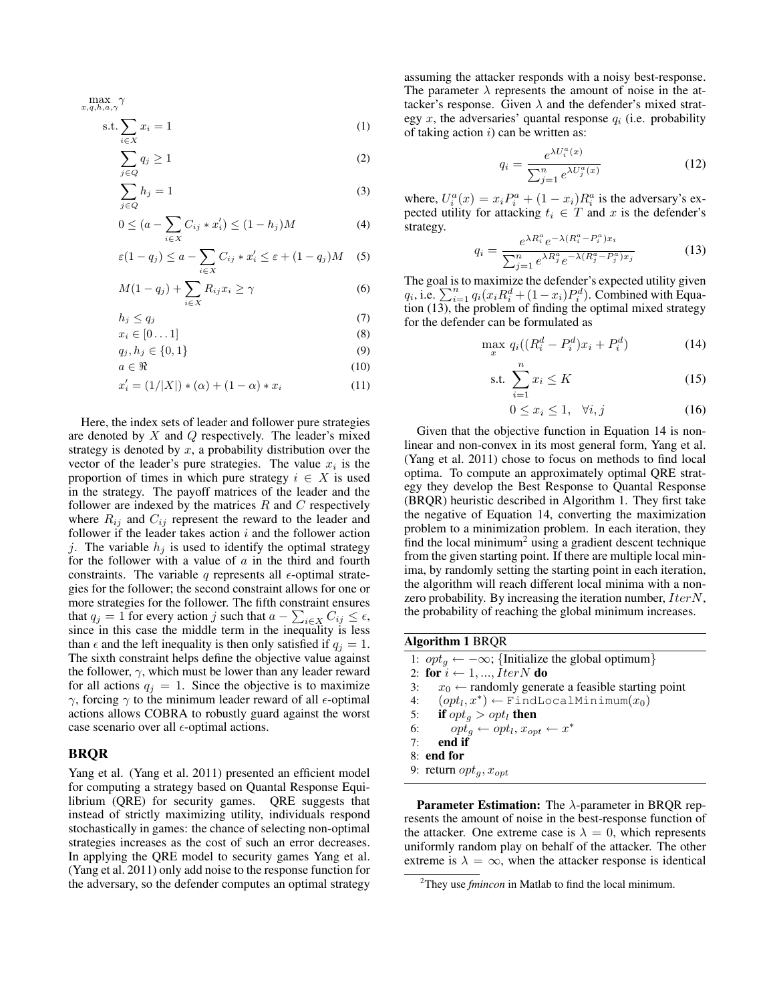$$
\max_{x,q,h,a,\gamma} \gamma
$$
  
s.t.  $\sum x_i = 1$  (1)

$$
\sum_{i \in X} q_i \ge 1 \tag{2}
$$

$$
j \in Q
$$
  

$$
\sum h_j = 1
$$
 (3)

$$
j \in Q
$$
  
0 \le (a -  $\sum_{i \in X} C_{ij} * x'_i$ ) \le (1 - h<sub>j</sub>)M (4)

$$
\varepsilon(1-q_j) \le a - \sum_{i \in X} C_{ij} * x'_i \le \varepsilon + (1-q_j)M \quad (5)
$$

$$
M(1-q_j) + \sum_{i \in X} R_{ij} x_i \ge \gamma \tag{6}
$$

$$
h_j \le q_j \tag{7}
$$

$$
x_i \in [0 \dots 1] \tag{8}
$$

$$
q_j, h_j \in \{0, 1\} \tag{9}
$$

$$
a \in \Re \tag{10}
$$

$$
x'_{i} = (1/|X|) * (\alpha) + (1 - \alpha) * x_{i}
$$
 (11)

Here, the index sets of leader and follower pure strategies are denoted by  $X$  and  $Q$  respectively. The leader's mixed strategy is denoted by  $x$ , a probability distribution over the vector of the leader's pure strategies. The value  $x_i$  is the proportion of times in which pure strategy  $i \in X$  is used in the strategy. The payoff matrices of the leader and the follower are indexed by the matrices  $R$  and  $C$  respectively where  $R_{ij}$  and  $C_{ij}$  represent the reward to the leader and follower if the leader takes action  $i$  and the follower action j. The variable  $h_i$  is used to identify the optimal strategy for the follower with a value of  $a$  in the third and fourth constraints. The variable q represents all  $\epsilon$ -optimal strategies for the follower; the second constraint allows for one or more strategies for the follower. The fifth constraint ensures that  $q_j = 1$  for every action j such that  $a - \sum_{i \in X} C_{ij} \le \epsilon$ , since in this case the middle term in the inequality is less than  $\epsilon$  and the left inequality is then only satisfied if  $q_i = 1$ . The sixth constraint helps define the objective value against the follower,  $\gamma$ , which must be lower than any leader reward for all actions  $q_j = 1$ . Since the objective is to maximize  $γ$ , forcing  $γ$  to the minimum leader reward of all  $ε$ -optimal actions allows COBRA to robustly guard against the worst case scenario over all  $\epsilon$ -optimal actions.

#### BRQR

Yang et al. (Yang et al. 2011) presented an efficient model for computing a strategy based on Quantal Response Equilibrium (QRE) for security games. QRE suggests that instead of strictly maximizing utility, individuals respond stochastically in games: the chance of selecting non-optimal strategies increases as the cost of such an error decreases. In applying the QRE model to security games Yang et al. (Yang et al. 2011) only add noise to the response function for the adversary, so the defender computes an optimal strategy assuming the attacker responds with a noisy best-response. The parameter  $\lambda$  represents the amount of noise in the attacker's response. Given  $\lambda$  and the defender's mixed strategy x, the adversaries' quantal response  $q_i$  (i.e. probability of taking action  $i$ ) can be written as:

$$
q_i = \frac{e^{\lambda U_i^a(x)}}{\sum_{j=1}^n e^{\lambda U_j^a(x)}}
$$
(12)

where,  $U_i^a(x) = x_i P_i^a + (1 - x_i) R_i^a$  is the adversary's expected utility for attacking  $t_i \in T$  and x is the defender's strategy.

$$
q_i = \frac{e^{\lambda R_i^a} e^{-\lambda (R_i^a - P_i^a)x_i}}{\sum_{j=1}^n e^{\lambda R_j^a} e^{-\lambda (R_j^a - P_j^a)x_j}}
$$
(13)

The goal is to maximize the defender's expected utility given  $q_i$ , i.e.  $\sum_{i=1}^n q_i(x_i R_i^d + (1-x_i)P_i^d)$ . Combined with Equation (13), the problem of finding the optimal mixed strategy for the defender can be formulated as

$$
\max_{x} q_i((R_i^d - P_i^d)x_i + P_i^d) \tag{14}
$$

$$
\text{s.t. } \sum_{i=1}^{n} x_i \le K \tag{15}
$$

$$
0 \le x_i \le 1, \quad \forall i, j \tag{16}
$$

Given that the objective function in Equation 14 is nonlinear and non-convex in its most general form, Yang et al. (Yang et al. 2011) chose to focus on methods to find local optima. To compute an approximately optimal QRE strategy they develop the Best Response to Quantal Response (BRQR) heuristic described in Algorithm 1. They first take the negative of Equation 14, converting the maximization problem to a minimization problem. In each iteration, they find the local minimum<sup>2</sup> using a gradient descent technique from the given starting point. If there are multiple local minima, by randomly setting the starting point in each iteration, the algorithm will reach different local minima with a nonzero probability. By increasing the iteration number,  $IterN$ , the probability of reaching the global minimum increases.

#### Algorithm 1 BRQR

|    | 1: $opt_a \leftarrow -\infty$ ; {Initialize the global optimum}  |
|----|------------------------------------------------------------------|
|    | 2: for $i \leftarrow 1, , I$ ter N do                            |
| 3: | $x_0 \leftarrow$ randomly generate a feasible starting point     |
|    | 4: $(\text{opt}_l, x^*) \leftarrow \text{FindLocalMinimum}(x_0)$ |
|    | 5: if $opt_q > opt_l$ then                                       |
|    | $opt_a \leftarrow opt_l, x_{opt} \leftarrow x^*$<br>6:           |
| 7: | end if                                                           |
|    | 8: end for                                                       |
|    | 9: return $opt_{g}$ , $x_{opt}$                                  |

**Parameter Estimation:** The  $\lambda$ -parameter in BRQR represents the amount of noise in the best-response function of the attacker. One extreme case is  $\lambda = 0$ , which represents uniformly random play on behalf of the attacker. The other extreme is  $\lambda = \infty$ , when the attacker response is identical

<sup>2</sup>They use *fmincon* in Matlab to find the local minimum.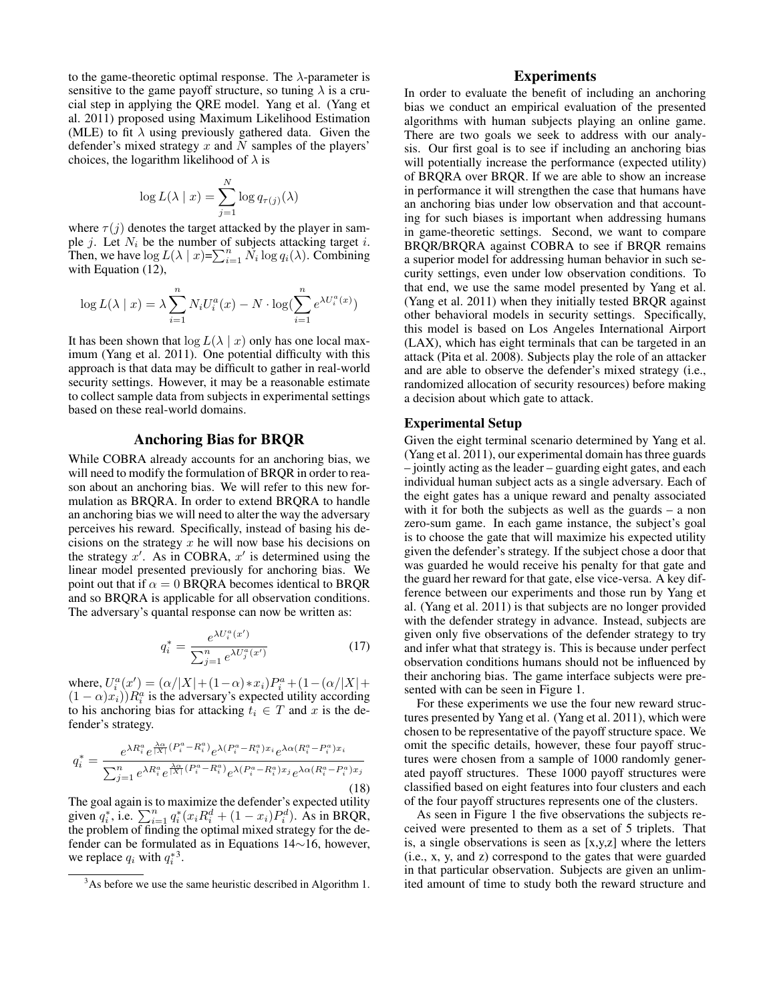to the game-theoretic optimal response. The  $\lambda$ -parameter is sensitive to the game payoff structure, so tuning  $\lambda$  is a crucial step in applying the QRE model. Yang et al. (Yang et al. 2011) proposed using Maximum Likelihood Estimation (MLE) to fit  $\lambda$  using previously gathered data. Given the defender's mixed strategy  $x$  and  $N$  samples of the players' choices, the logarithm likelihood of  $\lambda$  is

$$
\log L(\lambda \mid x) = \sum_{j=1}^{N} \log q_{\tau(j)}(\lambda)
$$

where  $\tau(j)$  denotes the target attacked by the player in sample *j*. Let  $N_i$  be the number of subjects attacking target *i*. Then, we have  $\log L(\lambda \mid x) = \sum_{i=1}^{n} N_i \log q_i(\lambda)$ . Combining with Equation (12),

$$
\log L(\lambda \mid x) = \lambda \sum_{i=1}^{n} N_i U_i^a(x) - N \cdot \log(\sum_{i=1}^{n} e^{\lambda U_i^a(x)})
$$

It has been shown that  $\log L(\lambda \mid x)$  only has one local maximum (Yang et al. 2011). One potential difficulty with this approach is that data may be difficult to gather in real-world security settings. However, it may be a reasonable estimate to collect sample data from subjects in experimental settings based on these real-world domains.

## Anchoring Bias for BRQR

While COBRA already accounts for an anchoring bias, we will need to modify the formulation of BRQR in order to reason about an anchoring bias. We will refer to this new formulation as BRQRA. In order to extend BRQRA to handle an anchoring bias we will need to alter the way the adversary perceives his reward. Specifically, instead of basing his decisions on the strategy  $x$  he will now base his decisions on the strategy  $x'$ . As in COBRA,  $x'$  is determined using the linear model presented previously for anchoring bias. We point out that if  $\alpha = 0$  BRQRA becomes identical to BRQR and so BRQRA is applicable for all observation conditions. The adversary's quantal response can now be written as:

$$
q_i^* = \frac{e^{\lambda U_i^a(x')}}{\sum_{j=1}^n e^{\lambda U_j^a(x')}}\tag{17}
$$

where,  $U_i^a(x') = (\alpha/|X| + (1-\alpha) * x_i)P_i^a + (1-(\alpha/|X| +$  $(1 - \alpha)x_i$ ) $R_i^a$  is the adversary's expected utility according to his anchoring bias for attacking  $t_i \in T$  and x is the defender's strategy.

$$
q_i^* = \frac{e^{\lambda R_i^a} e^{\frac{\lambda \alpha}{|\mathbf{X}|} \left(P_i^a - R_i^a\right)} e^{\lambda \left(P_i^a - R_i^a\right) x_i} e^{\lambda \alpha \left(R_i^a - P_i^a\right) x_i}}{\sum_{j=1}^n e^{\lambda R_i^a} e^{\frac{\lambda \alpha}{|\mathbf{X}|} \left(P_i^a - R_i^a\right)} e^{\lambda \left(P_i^a - R_i^a\right) x_j} e^{\lambda \alpha \left(R_i^a - P_i^a\right) x_j}}
$$
\n(18)

The goal again is to maximize the defender's expected utility given  $q_i^*$ , i.e.  $\sum_{i=1}^n q_i^*(x_i R_i^d + (1 - x_i)P_i^d)$ . As in BRQR, the problem of finding the optimal mixed strategy for the defender can be formulated as in Equations 14∼16, however, we replace  $q_i$  with  $q_i^*$ <sup>3</sup>.

## **Experiments**

In order to evaluate the benefit of including an anchoring bias we conduct an empirical evaluation of the presented algorithms with human subjects playing an online game. There are two goals we seek to address with our analysis. Our first goal is to see if including an anchoring bias will potentially increase the performance (expected utility) of BRQRA over BRQR. If we are able to show an increase in performance it will strengthen the case that humans have an anchoring bias under low observation and that accounting for such biases is important when addressing humans in game-theoretic settings. Second, we want to compare BRQR/BRQRA against COBRA to see if BRQR remains a superior model for addressing human behavior in such security settings, even under low observation conditions. To that end, we use the same model presented by Yang et al. (Yang et al. 2011) when they initially tested BRQR against other behavioral models in security settings. Specifically, this model is based on Los Angeles International Airport (LAX), which has eight terminals that can be targeted in an attack (Pita et al. 2008). Subjects play the role of an attacker and are able to observe the defender's mixed strategy (i.e., randomized allocation of security resources) before making a decision about which gate to attack.

### Experimental Setup

Given the eight terminal scenario determined by Yang et al. (Yang et al. 2011), our experimental domain has three guards – jointly acting as the leader – guarding eight gates, and each individual human subject acts as a single adversary. Each of the eight gates has a unique reward and penalty associated with it for both the subjects as well as the guards – a non zero-sum game. In each game instance, the subject's goal is to choose the gate that will maximize his expected utility given the defender's strategy. If the subject chose a door that was guarded he would receive his penalty for that gate and the guard her reward for that gate, else vice-versa. A key difference between our experiments and those run by Yang et al. (Yang et al. 2011) is that subjects are no longer provided with the defender strategy in advance. Instead, subjects are given only five observations of the defender strategy to try and infer what that strategy is. This is because under perfect observation conditions humans should not be influenced by their anchoring bias. The game interface subjects were presented with can be seen in Figure 1.

For these experiments we use the four new reward structures presented by Yang et al. (Yang et al. 2011), which were chosen to be representative of the payoff structure space. We omit the specific details, however, these four payoff structures were chosen from a sample of 1000 randomly generated payoff structures. These 1000 payoff structures were classified based on eight features into four clusters and each of the four payoff structures represents one of the clusters.

As seen in Figure 1 the five observations the subjects received were presented to them as a set of 5 triplets. That is, a single observations is seen as [x,y,z] where the letters (i.e., x, y, and z) correspond to the gates that were guarded in that particular observation. Subjects are given an unlimited amount of time to study both the reward structure and

<sup>&</sup>lt;sup>3</sup>As before we use the same heuristic described in Algorithm 1.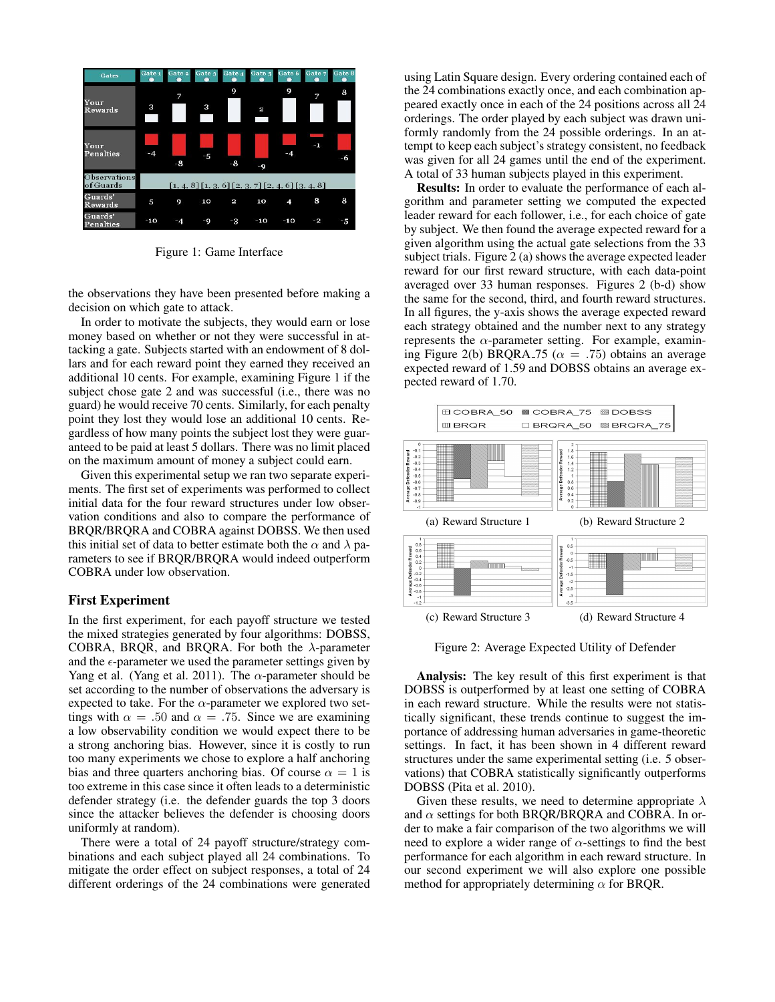

Figure 1: Game Interface

the observations they have been presented before making a decision on which gate to attack.

In order to motivate the subjects, they would earn or lose money based on whether or not they were successful in attacking a gate. Subjects started with an endowment of 8 dollars and for each reward point they earned they received an additional 10 cents. For example, examining Figure 1 if the subject chose gate 2 and was successful (i.e., there was no guard) he would receive 70 cents. Similarly, for each penalty point they lost they would lose an additional 10 cents. Regardless of how many points the subject lost they were guaranteed to be paid at least 5 dollars. There was no limit placed on the maximum amount of money a subject could earn.

Given this experimental setup we ran two separate experiments. The first set of experiments was performed to collect initial data for the four reward structures under low observation conditions and also to compare the performance of BRQR/BRQRA and COBRA against DOBSS. We then used this initial set of data to better estimate both the  $\alpha$  and  $\lambda$  parameters to see if BRQR/BRQRA would indeed outperform COBRA under low observation.

#### First Experiment

In the first experiment, for each payoff structure we tested the mixed strategies generated by four algorithms: DOBSS, COBRA, BRQR, and BRQRA. For both the  $\lambda$ -parameter and the  $\epsilon$ -parameter we used the parameter settings given by Yang et al. (Yang et al. 2011). The  $\alpha$ -parameter should be set according to the number of observations the adversary is expected to take. For the  $\alpha$ -parameter we explored two settings with  $\alpha = .50$  and  $\alpha = .75$ . Since we are examining a low observability condition we would expect there to be a strong anchoring bias. However, since it is costly to run too many experiments we chose to explore a half anchoring bias and three quarters anchoring bias. Of course  $\alpha = 1$  is too extreme in this case since it often leads to a deterministic defender strategy (i.e. the defender guards the top 3 doors since the attacker believes the defender is choosing doors uniformly at random).

There were a total of 24 payoff structure/strategy combinations and each subject played all 24 combinations. To mitigate the order effect on subject responses, a total of 24 different orderings of the 24 combinations were generated

using Latin Square design. Every ordering contained each of the 24 combinations exactly once, and each combination appeared exactly once in each of the 24 positions across all 24 orderings. The order played by each subject was drawn uniformly randomly from the 24 possible orderings. In an attempt to keep each subject's strategy consistent, no feedback was given for all 24 games until the end of the experiment. A total of 33 human subjects played in this experiment.

Results: In order to evaluate the performance of each algorithm and parameter setting we computed the expected leader reward for each follower, i.e., for each choice of gate by subject. We then found the average expected reward for a given algorithm using the actual gate selections from the 33 subject trials. Figure 2 (a) shows the average expected leader reward for our first reward structure, with each data-point averaged over 33 human responses. Figures 2 (b-d) show the same for the second, third, and fourth reward structures. In all figures, the y-axis shows the average expected reward each strategy obtained and the number next to any strategy represents the  $\alpha$ -parameter setting. For example, examining Figure 2(b) BRQRA 75 ( $\alpha = .75$ ) obtains an average expected reward of 1.59 and DOBSS obtains an average expected reward of 1.70.



Figure 2: Average Expected Utility of Defender

Analysis: The key result of this first experiment is that DOBSS is outperformed by at least one setting of COBRA in each reward structure. While the results were not statistically significant, these trends continue to suggest the importance of addressing human adversaries in game-theoretic settings. In fact, it has been shown in 4 different reward structures under the same experimental setting (i.e. 5 observations) that COBRA statistically significantly outperforms DOBSS (Pita et al. 2010).

Given these results, we need to determine appropriate  $\lambda$ and  $\alpha$  settings for both BRQR/BRQRA and COBRA. In order to make a fair comparison of the two algorithms we will need to explore a wider range of  $\alpha$ -settings to find the best performance for each algorithm in each reward structure. In our second experiment we will also explore one possible method for appropriately determining  $\alpha$  for BRQR.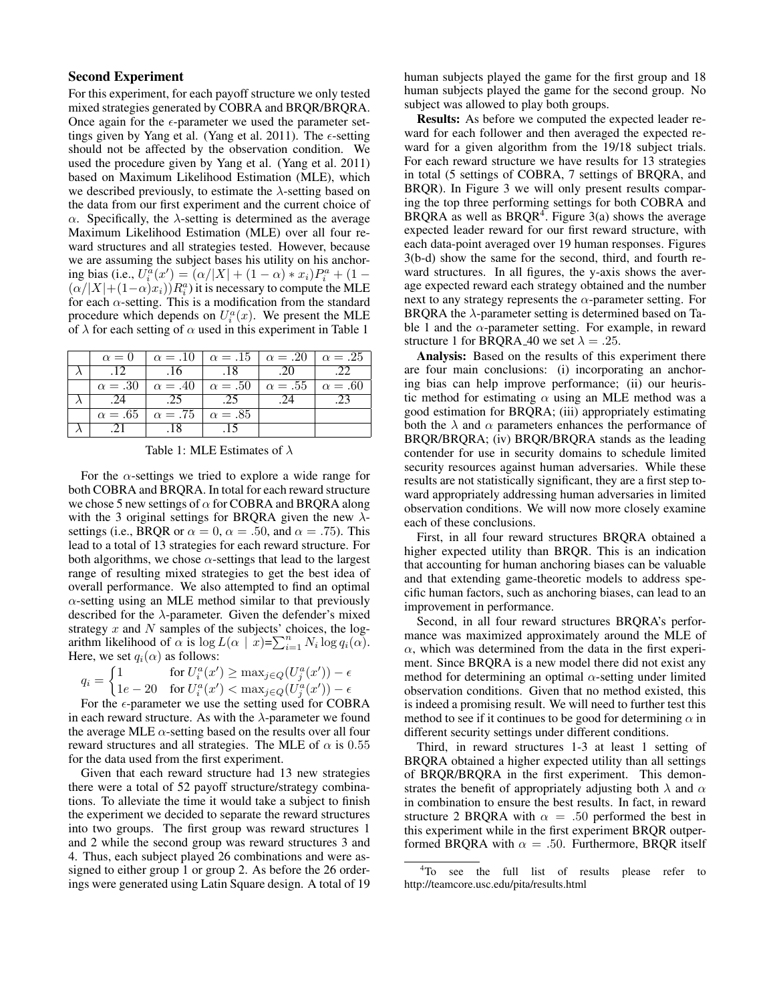## Second Experiment

For this experiment, for each payoff structure we only tested mixed strategies generated by COBRA and BRQR/BRQRA. Once again for the  $\epsilon$ -parameter we used the parameter settings given by Yang et al. (Yang et al. 2011). The  $\epsilon$ -setting should not be affected by the observation condition. We used the procedure given by Yang et al. (Yang et al. 2011) based on Maximum Likelihood Estimation (MLE), which we described previously, to estimate the  $\lambda$ -setting based on the data from our first experiment and the current choice of  $\alpha$ . Specifically, the  $\lambda$ -setting is determined as the average Maximum Likelihood Estimation (MLE) over all four reward structures and all strategies tested. However, because we are assuming the subject bases his utility on his anchoring bias (i.e.,  $U_i^a(x') = (\alpha/|X| + (1 - \alpha) * x_i)P_i^a + (1 - \alpha)P_i^a$  $(\alpha/|X|+(1-\alpha)x_i)$ )  $R_i^a$ ) it is necessary to compute the MLE for each  $\alpha$ -setting. This is a modification from the standard procedure which depends on  $U_i^a(x)$ . We present the MLE of  $\lambda$  for each setting of  $\alpha$  used in this experiment in Table 1

| $\alpha = 0$   |                                                  | $\alpha = .10$ $\alpha = .15$ $\alpha = .20$ $\alpha = .25$ |     |     |
|----------------|--------------------------------------------------|-------------------------------------------------------------|-----|-----|
| .12            | .16                                              | .18                                                         | .20 | .22 |
| $\alpha = .30$ |                                                  | $\alpha = .40$ $\alpha = .50$ $\alpha = .55$ $\alpha = .60$ |     |     |
| .24            | .25                                              | .25                                                         | .24 |     |
|                | $\alpha = .65$   $\alpha = .75$   $\alpha = .85$ |                                                             |     |     |
|                | .18                                              |                                                             |     |     |

Table 1: MLE Estimates of  $\lambda$ 

For the  $\alpha$ -settings we tried to explore a wide range for both COBRA and BRQRA. In total for each reward structure we chose 5 new settings of  $\alpha$  for COBRA and BRQRA along with the 3 original settings for BRQRA given the new  $\lambda$ settings (i.e., BRQR or  $\alpha = 0$ ,  $\alpha = .50$ , and  $\alpha = .75$ ). This lead to a total of 13 strategies for each reward structure. For both algorithms, we chose  $\alpha$ -settings that lead to the largest range of resulting mixed strategies to get the best idea of overall performance. We also attempted to find an optimal  $\alpha$ -setting using an MLE method similar to that previously described for the  $\lambda$ -parameter. Given the defender's mixed strategy  $x$  and  $N$  samples of the subjects' choices, the logarithm likelihood of  $\alpha$  is  $\log L(\alpha | x) = \sum_{i=1}^{n} N_i \log q_i(\alpha)$ . Here, we set  $q_i(\alpha)$  as follows:

$$
q_i = \begin{cases} 1 & \text{for } U_i^a(x') \ge \max_{j \in Q} (U_j^a(x')) - \epsilon \\ 1e - 20 & \text{for } U_i^a(x') < \max_{j \in Q} (U_j^a(x')) - \epsilon \end{cases}
$$

For the  $\epsilon$ -parameter we use the setting used for COBRA in each reward structure. As with the  $\lambda$ -parameter we found the average MLE  $\alpha$ -setting based on the results over all four reward structures and all strategies. The MLE of  $\alpha$  is 0.55 for the data used from the first experiment.

Given that each reward structure had 13 new strategies there were a total of 52 payoff structure/strategy combinations. To alleviate the time it would take a subject to finish the experiment we decided to separate the reward structures into two groups. The first group was reward structures 1 and 2 while the second group was reward structures 3 and 4. Thus, each subject played 26 combinations and were assigned to either group 1 or group 2. As before the 26 orderings were generated using Latin Square design. A total of 19

human subjects played the game for the first group and 18 human subjects played the game for the second group. No subject was allowed to play both groups.

Results: As before we computed the expected leader reward for each follower and then averaged the expected reward for a given algorithm from the 19/18 subject trials. For each reward structure we have results for 13 strategies in total (5 settings of COBRA, 7 settings of BRQRA, and BRQR). In Figure 3 we will only present results comparing the top three performing settings for both COBRA and BRQRA as well as  $BRQR<sup>4</sup>$ . Figure 3(a) shows the average expected leader reward for our first reward structure, with each data-point averaged over 19 human responses. Figures 3(b-d) show the same for the second, third, and fourth reward structures. In all figures, the y-axis shows the average expected reward each strategy obtained and the number next to any strategy represents the  $\alpha$ -parameter setting. For BRQRA the  $\lambda$ -parameter setting is determined based on Table 1 and the  $\alpha$ -parameter setting. For example, in reward structure 1 for BRQRA<sub>-40</sub> we set  $\lambda = .25$ .

Analysis: Based on the results of this experiment there are four main conclusions: (i) incorporating an anchoring bias can help improve performance; (ii) our heuristic method for estimating  $\alpha$  using an MLE method was a good estimation for BRQRA; (iii) appropriately estimating both the  $\lambda$  and  $\alpha$  parameters enhances the performance of BRQR/BRQRA; (iv) BRQR/BRQRA stands as the leading contender for use in security domains to schedule limited security resources against human adversaries. While these results are not statistically significant, they are a first step toward appropriately addressing human adversaries in limited observation conditions. We will now more closely examine each of these conclusions.

First, in all four reward structures BRQRA obtained a higher expected utility than BRQR. This is an indication that accounting for human anchoring biases can be valuable and that extending game-theoretic models to address specific human factors, such as anchoring biases, can lead to an improvement in performance.

Second, in all four reward structures BRQRA's performance was maximized approximately around the MLE of  $\alpha$ , which was determined from the data in the first experiment. Since BRQRA is a new model there did not exist any method for determining an optimal  $\alpha$ -setting under limited observation conditions. Given that no method existed, this is indeed a promising result. We will need to further test this method to see if it continues to be good for determining  $\alpha$  in different security settings under different conditions.

Third, in reward structures 1-3 at least 1 setting of BRQRA obtained a higher expected utility than all settings of BRQR/BRQRA in the first experiment. This demonstrates the benefit of appropriately adjusting both  $\lambda$  and  $\alpha$ in combination to ensure the best results. In fact, in reward structure 2 BRQRA with  $\alpha = .50$  performed the best in this experiment while in the first experiment BRQR outperformed BRQRA with  $\alpha = .50$ . Furthermore, BRQR itself

<sup>&</sup>lt;sup>4</sup>To see the full list of results please refer to http://teamcore.usc.edu/pita/results.html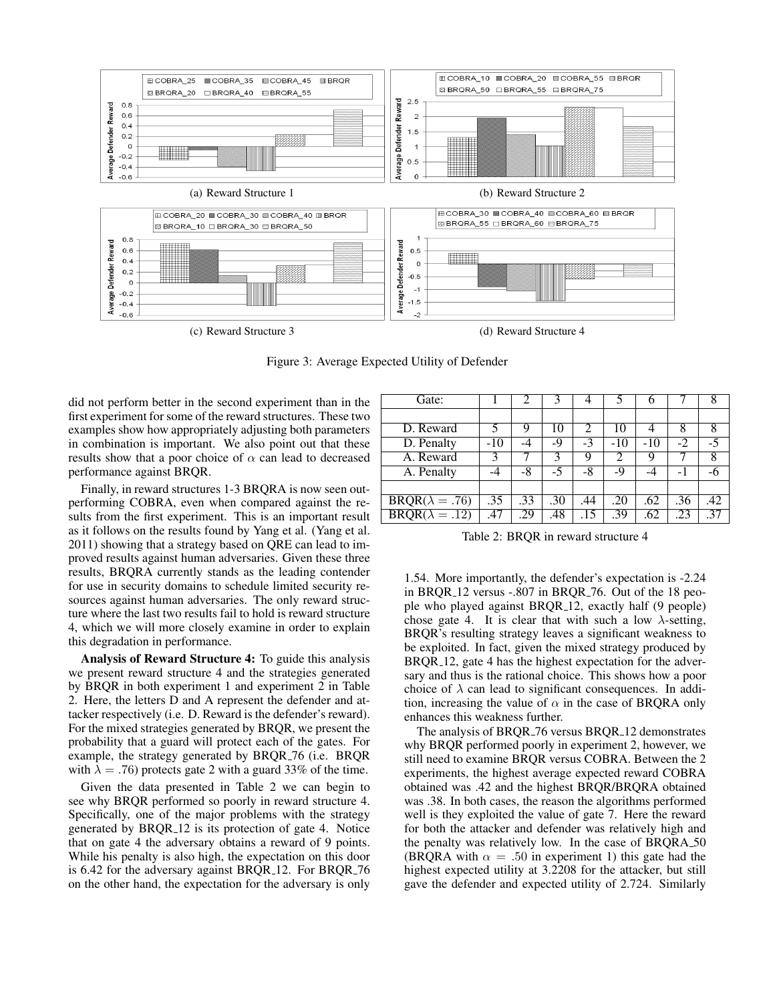

Figure 3: Average Expected Utility of Defender

did not perform better in the second experiment than in the first experiment for some of the reward structures. These two examples show how appropriately adjusting both parameters in combination is important. We also point out that these results show that a poor choice of  $\alpha$  can lead to decreased performance against BRQR.

Finally, in reward structures 1-3 BRQRA is now seen outperforming COBRA, even when compared against the results from the first experiment. This is an important result as it follows on the results found by Yang et al. (Yang et al. 2011) showing that a strategy based on QRE can lead to improved results against human adversaries. Given these three results, BRQRA currently stands as the leading contender for use in security domains to schedule limited security resources against human adversaries. The only reward structure where the last two results fail to hold is reward structure 4, which we will more closely examine in order to explain this degradation in performance.

Analysis of Reward Structure 4: To guide this analysis we present reward structure 4 and the strategies generated by BRQR in both experiment 1 and experiment 2 in Table 2. Here, the letters D and A represent the defender and attacker respectively (i.e. D. Reward is the defender's reward). For the mixed strategies generated by BRQR, we present the probability that a guard will protect each of the gates. For example, the strategy generated by BRQR 76 (i.e. BRQR with  $\lambda = .76$ ) protects gate 2 with a guard 33% of the time.

Given the data presented in Table 2 we can begin to see why BRQR performed so poorly in reward structure 4. Specifically, one of the major problems with the strategy generated by BRQR 12 is its protection of gate 4. Notice that on gate 4 the adversary obtains a reward of 9 points. While his penalty is also high, the expectation on this door is 6.42 for the adversary against BRQR<sub>-12</sub>. For BRQR<sub>-76</sub> on the other hand, the expectation for the adversary is only

| Gate:                                   |       |     | 3    |      |       | 6     |      | 8               |
|-----------------------------------------|-------|-----|------|------|-------|-------|------|-----------------|
|                                         |       |     |      |      |       |       |      |                 |
| D. Reward                               | 5     | 9   | 10   |      | 10    | 4     | 8    | 8               |
| D. Penalty                              | $-10$ | -4  | -9   | $-3$ | $-10$ | $-10$ | $-2$ | $-5$            |
| A. Reward                               |       |     | 3    | 9    | 2     | 9     |      | 8               |
| A. Penalty                              |       | -8  | $-5$ | -8   | -9    | -4    | - 1  | -6              |
|                                         |       |     |      |      |       |       |      |                 |
| $BRQR(\lambda = .76)$                   | .35   | .33 | .30  | .44  | .20   | .62   | .36  | .42             |
| $\overline{\text{BRQR}(\lambda = .12)}$ | .47   | .29 | .48  | .15  | .39   | .62   | .23  | $\overline{37}$ |

Table 2: BRQR in reward structure 4

1.54. More importantly, the defender's expectation is -2.24 in BRQR 12 versus -.807 in BRQR 76. Out of the 18 people who played against BRQR 12, exactly half (9 people) chose gate 4. It is clear that with such a low  $\lambda$ -setting, BRQR's resulting strategy leaves a significant weakness to be exploited. In fact, given the mixed strategy produced by BRQR 12, gate 4 has the highest expectation for the adversary and thus is the rational choice. This shows how a poor choice of  $\lambda$  can lead to significant consequences. In addition, increasing the value of  $\alpha$  in the case of BRQRA only enhances this weakness further.

The analysis of BROR<sub>-76</sub> versus BROR<sub>-12</sub> demonstrates why BRQR performed poorly in experiment 2, however, we still need to examine BRQR versus COBRA. Between the 2 experiments, the highest average expected reward COBRA obtained was .42 and the highest BRQR/BRQRA obtained was .38. In both cases, the reason the algorithms performed well is they exploited the value of gate 7. Here the reward for both the attacker and defender was relatively high and the penalty was relatively low. In the case of BRQRA 50 (BRQRA with  $\alpha = .50$  in experiment 1) this gate had the highest expected utility at 3.2208 for the attacker, but still gave the defender and expected utility of 2.724. Similarly